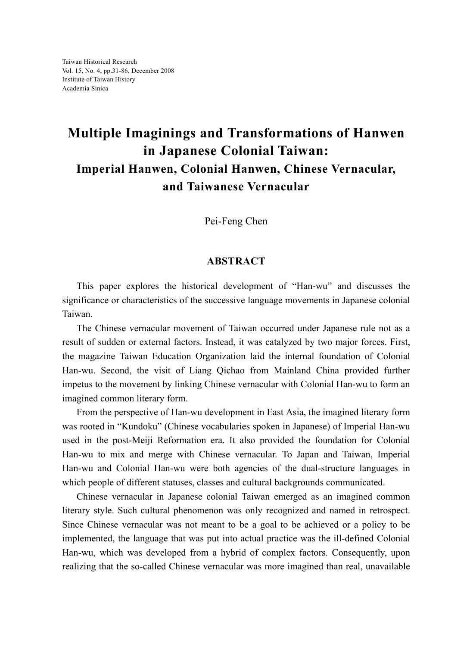## **Multiple Imaginings and Transformations of Hanwen in Japanese Colonial Taiwan: Imperial Hanwen, Colonial Hanwen, Chinese Vernacular, and Taiwanese Vernacular**

Pei-Feng Chen

## **ABSTRACT**

This paper explores the historical development of "Han-wu" and discusses the significance or characteristics of the successive language movements in Japanese colonial Taiwan.

The Chinese vernacular movement of Taiwan occurred under Japanese rule not as a result of sudden or external factors. Instead, it was catalyzed by two major forces. First, the magazine Taiwan Education Organization laid the internal foundation of Colonial Han-wu. Second, the visit of Liang Qichao from Mainland China provided further impetus to the movement by linking Chinese vernacular with Colonial Han-wu to form an imagined common literary form.

From the perspective of Han-wu development in East Asia, the imagined literary form was rooted in "Kundoku" (Chinese vocabularies spoken in Japanese) of Imperial Han-wu used in the post-Meiji Reformation era. It also provided the foundation for Colonial Han-wu to mix and merge with Chinese vernacular. To Japan and Taiwan, Imperial Han-wu and Colonial Han-wu were both agencies of the dual-structure languages in which people of different statuses, classes and cultural backgrounds communicated.

Chinese vernacular in Japanese colonial Taiwan emerged as an imagined common literary style. Such cultural phenomenon was only recognized and named in retrospect. Since Chinese vernacular was not meant to be a goal to be achieved or a policy to be implemented, the language that was put into actual practice was the ill-defined Colonial Han-wu, which was developed from a hybrid of complex factors. Consequently, upon realizing that the so-called Chinese vernacular was more imagined than real, unavailable